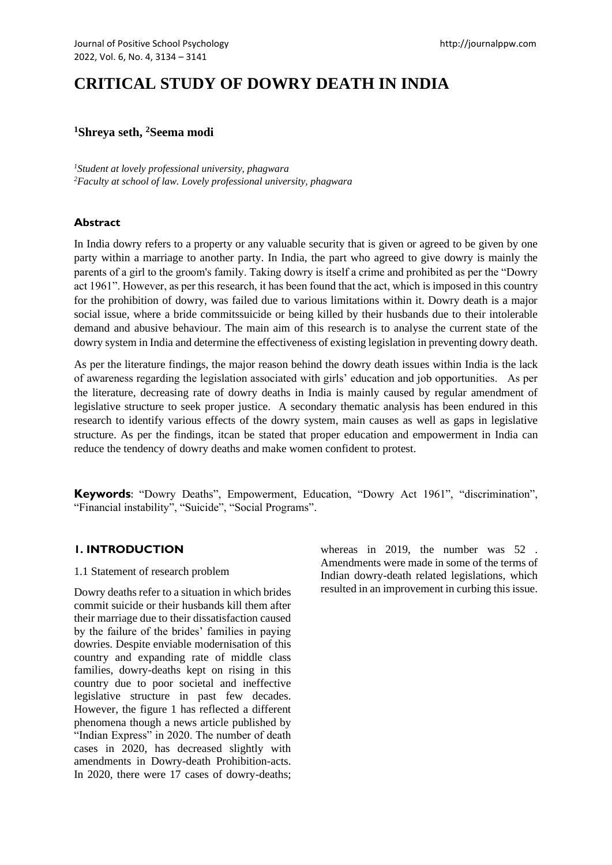# **CRITICAL STUDY OF DOWRY DEATH IN INDIA**

# **<sup>1</sup>Shreya seth, <sup>2</sup>Seema modi**

*<sup>1</sup>Student at lovely professional university, phagwara <sup>2</sup>Faculty at school of law. Lovely professional university, phagwara*

# **Abstract**

In India dowry refers to a property or any valuable security that is given or agreed to be given by one party within a marriage to another party. In India, the part who agreed to give dowry is mainly the parents of a girl to the groom's family. Taking dowry is itself a crime and prohibited as per the "Dowry act 1961". However, as per this research, it has been found that the act, which is imposed in this country for the prohibition of dowry, was failed due to various limitations within it. Dowry death is a major social issue, where a bride commitssuicide or being killed by their husbands due to their intolerable demand and abusive behaviour. The main aim of this research is to analyse the current state of the dowry system in India and determine the effectiveness of existing legislation in preventing dowry death.

As per the literature findings, the major reason behind the dowry death issues within India is the lack of awareness regarding the legislation associated with girls' education and job opportunities. As per the literature, decreasing rate of dowry deaths in India is mainly caused by regular amendment of legislative structure to seek proper justice. A secondary thematic analysis has been endured in this research to identify various effects of the dowry system, main causes as well as gaps in legislative structure. As per the findings, itcan be stated that proper education and empowerment in India can reduce the tendency of dowry deaths and make women confident to protest.

**Keywords**: "Dowry Deaths", Empowerment, Education, "Dowry Act 1961", "discrimination", "Financial instability", "Suicide", "Social Programs".

## **1. INTRODUCTION**

#### 1.1 Statement of research problem

Dowry deaths refer to a situation in which brides commit suicide or their husbands kill them after their marriage due to their dissatisfaction caused by the failure of the brides' families in paying dowries. Despite enviable modernisation of this country and expanding rate of middle class families, dowry-deaths kept on rising in this country due to poor societal and ineffective legislative structure in past few decades. However, the figure 1 has reflected a different phenomena though a news article published by "Indian Express" in 2020. The number of death cases in 2020, has decreased slightly with amendments in Dowry-death Prohibition-acts. In 2020, there were 17 cases of dowry-deaths; whereas in 2019, the number was 52. Amendments were made in some of the terms of Indian dowry-death related legislations, which resulted in an improvement in curbing this issue.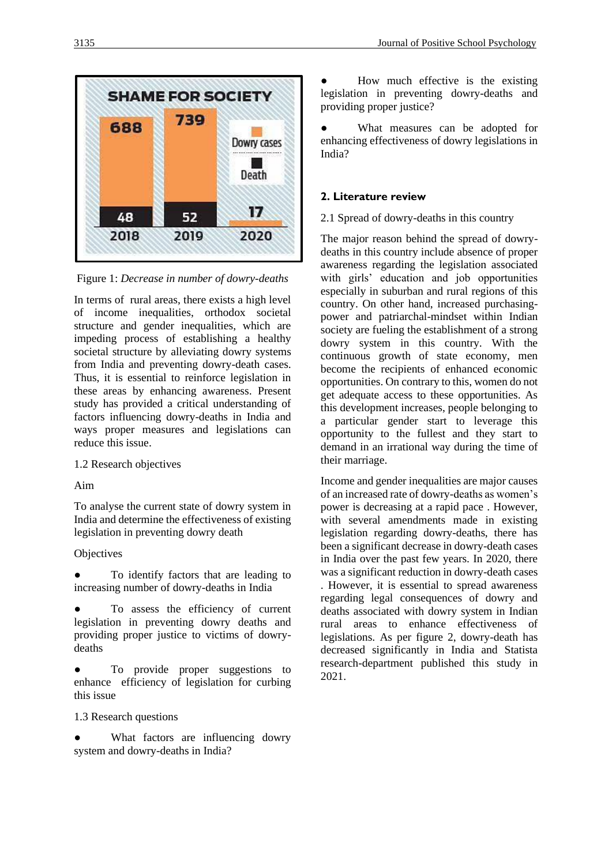

Figure 1: *Decrease in number of dowry-deaths*

In terms of rural areas, there exists a high level of income inequalities, orthodox societal structure and gender inequalities, which are impeding process of establishing a healthy societal structure by alleviating dowry systems from India and preventing dowry-death cases. Thus, it is essential to reinforce legislation in these areas by enhancing awareness. Present study has provided a critical understanding of factors influencing dowry-deaths in India and ways proper measures and legislations can reduce this issue.

## 1.2 Research objectives

Aim

To analyse the current state of dowry system in India and determine the effectiveness of existing legislation in preventing dowry death

## **Objectives**

To identify factors that are leading to increasing number of dowry-deaths in India

To assess the efficiency of current legislation in preventing dowry deaths and providing proper justice to victims of dowrydeaths

To provide proper suggestions to enhance efficiency of legislation for curbing this issue

1.3 Research questions

• What factors are influencing dowry system and dowry-deaths in India?

How much effective is the existing legislation in preventing dowry-deaths and providing proper justice?

What measures can be adopted for enhancing effectiveness of dowry legislations in India?

## **2. Literature review**

2.1 Spread of dowry-deaths in this country

The major reason behind the spread of dowrydeaths in this country include absence of proper awareness regarding the legislation associated with girls' education and job opportunities especially in suburban and rural regions of this country. On other hand, increased purchasingpower and patriarchal-mindset within Indian society are fueling the establishment of a strong dowry system in this country. With the continuous growth of state economy, men become the recipients of enhanced economic opportunities. On contrary to this, women do not get adequate access to these opportunities. As this development increases, people belonging to a particular gender start to leverage this opportunity to the fullest and they start to demand in an irrational way during the time of their marriage.

Income and gender inequalities are major causes of an increased rate of dowry-deaths as women's power is decreasing at a rapid pace . However, with several amendments made in existing legislation regarding dowry-deaths, there has been a significant decrease in dowry-death cases in India over the past few years. In 2020, there was a significant reduction in dowry-death cases . However, it is essential to spread awareness regarding legal consequences of dowry and deaths associated with dowry system in Indian rural areas to enhance effectiveness of legislations. As per figure 2, dowry-death has decreased significantly in India and Statista research-department published this study in 2021.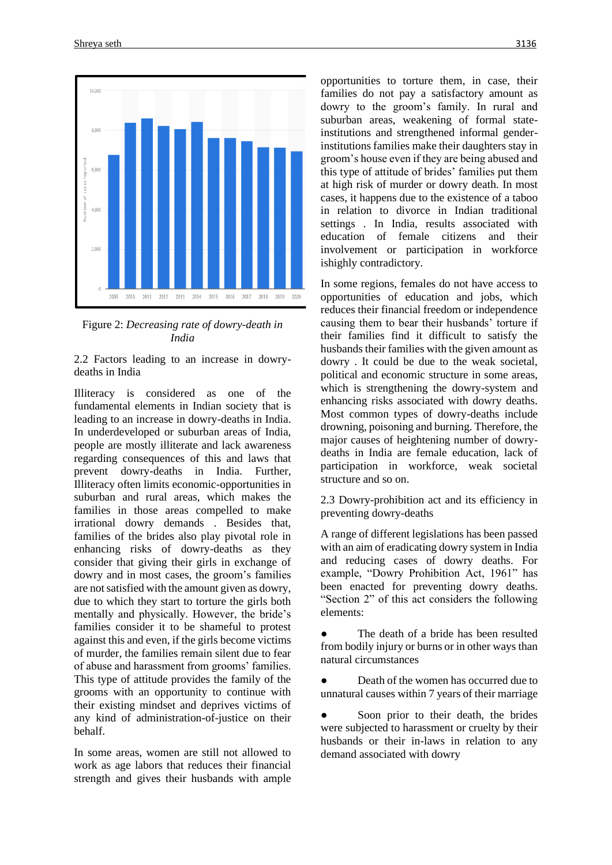

Figure 2: *Decreasing rate of dowry-death in India*

2.2 Factors leading to an increase in dowrydeaths in India

Illiteracy is considered as one of the fundamental elements in Indian society that is leading to an increase in dowry-deaths in India. In underdeveloped or suburban areas of India, people are mostly illiterate and lack awareness regarding consequences of this and laws that prevent dowry-deaths in India. Further, Illiteracy often limits economic-opportunities in suburban and rural areas, which makes the families in those areas compelled to make irrational dowry demands . Besides that, families of the brides also play pivotal role in enhancing risks of dowry-deaths as they consider that giving their girls in exchange of dowry and in most cases, the groom's families are not satisfied with the amount given as dowry, due to which they start to torture the girls both mentally and physically. However, the bride's families consider it to be shameful to protest against this and even, if the girls become victims of murder, the families remain silent due to fear of abuse and harassment from grooms' families. This type of attitude provides the family of the grooms with an opportunity to continue with their existing mindset and deprives victims of any kind of administration-of-justice on their behalf.

In some areas, women are still not allowed to work as age labors that reduces their financial strength and gives their husbands with ample opportunities to torture them, in case, their families do not pay a satisfactory amount as dowry to the groom's family. In rural and suburban areas, weakening of formal stateinstitutions and strengthened informal genderinstitutions families make their daughters stay in groom's house even if they are being abused and this type of attitude of brides' families put them at high risk of murder or dowry death. In most cases, it happens due to the existence of a taboo in relation to divorce in Indian traditional settings . In India, results associated with education of female citizens and their involvement or participation in workforce ishighly contradictory.

In some regions, females do not have access to opportunities of education and jobs, which reduces their financial freedom or independence causing them to bear their husbands' torture if their families find it difficult to satisfy the husbands their families with the given amount as dowry . It could be due to the weak societal, political and economic structure in some areas, which is strengthening the dowry-system and enhancing risks associated with dowry deaths. Most common types of dowry-deaths include drowning, poisoning and burning. Therefore, the major causes of heightening number of dowrydeaths in India are female education, lack of participation in workforce, weak societal structure and so on.

2.3 Dowry-prohibition act and its efficiency in preventing dowry-deaths

A range of different legislations has been passed with an aim of eradicating dowry system in India and reducing cases of dowry deaths. For example, "Dowry Prohibition Act, 1961" has been enacted for preventing dowry deaths. "Section 2" of this act considers the following elements:

The death of a bride has been resulted from bodily injury or burns or in other ways than natural circumstances

Death of the women has occurred due to unnatural causes within 7 years of their marriage

• Soon prior to their death, the brides were subjected to harassment or cruelty by their husbands or their in-laws in relation to any demand associated with dowry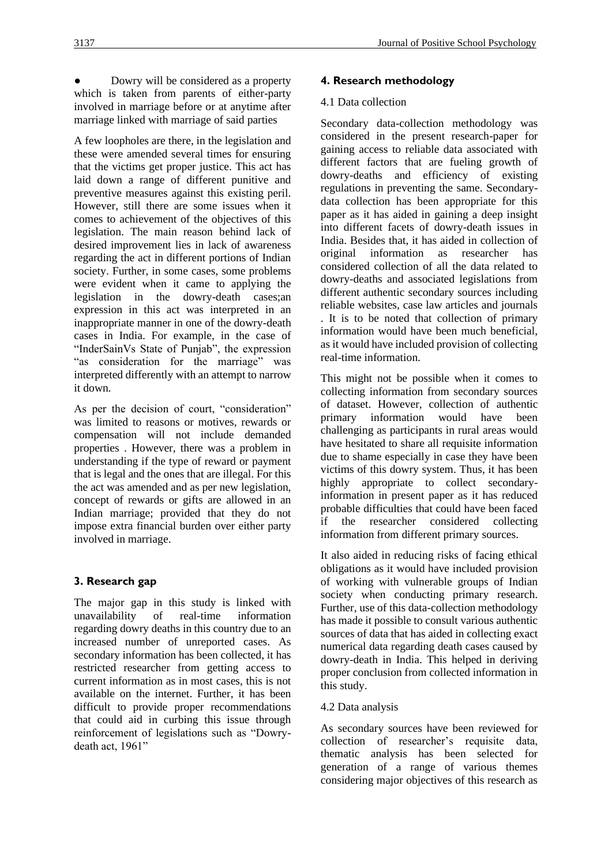Dowry will be considered as a property which is taken from parents of either-party involved in marriage before or at anytime after marriage linked with marriage of said parties

A few loopholes are there, in the legislation and these were amended several times for ensuring that the victims get proper justice. This act has laid down a range of different punitive and preventive measures against this existing peril. However, still there are some issues when it comes to achievement of the objectives of this legislation. The main reason behind lack of desired improvement lies in lack of awareness regarding the act in different portions of Indian society. Further, in some cases, some problems were evident when it came to applying the legislation in the dowry-death cases;an expression in this act was interpreted in an inappropriate manner in one of the dowry-death cases in India. For example, in the case of "InderSainVs State of Punjab", the expression "as consideration for the marriage" was interpreted differently with an attempt to narrow it down.

As per the decision of court, "consideration" was limited to reasons or motives, rewards or compensation will not include demanded properties . However, there was a problem in understanding if the type of reward or payment that is legal and the ones that are illegal. For this the act was amended and as per new legislation, concept of rewards or gifts are allowed in an Indian marriage; provided that they do not impose extra financial burden over either party involved in marriage.

# **3. Research gap**

The major gap in this study is linked with unavailability of real-time information regarding dowry deaths in this country due to an increased number of unreported cases. As secondary information has been collected, it has restricted researcher from getting access to current information as in most cases, this is not available on the internet. Further, it has been difficult to provide proper recommendations that could aid in curbing this issue through reinforcement of legislations such as "Dowrydeath act, 1961"

# **4. Research methodology**

#### 4.1 Data collection

Secondary data-collection methodology was considered in the present research-paper for gaining access to reliable data associated with different factors that are fueling growth of dowry-deaths and efficiency of existing regulations in preventing the same. Secondarydata collection has been appropriate for this paper as it has aided in gaining a deep insight into different facets of dowry-death issues in India. Besides that, it has aided in collection of original information as researcher has considered collection of all the data related to dowry-deaths and associated legislations from different authentic secondary sources including reliable websites, case law articles and journals . It is to be noted that collection of primary information would have been much beneficial, as it would have included provision of collecting real-time information.

This might not be possible when it comes to collecting information from secondary sources of dataset. However, collection of authentic primary information would have been challenging as participants in rural areas would have hesitated to share all requisite information due to shame especially in case they have been victims of this dowry system. Thus, it has been highly appropriate to collect secondaryinformation in present paper as it has reduced probable difficulties that could have been faced if the researcher considered collecting information from different primary sources.

It also aided in reducing risks of facing ethical obligations as it would have included provision of working with vulnerable groups of Indian society when conducting primary research. Further, use of this data-collection methodology has made it possible to consult various authentic sources of data that has aided in collecting exact numerical data regarding death cases caused by dowry-death in India. This helped in deriving proper conclusion from collected information in this study.

## 4.2 Data analysis

As secondary sources have been reviewed for collection of researcher's requisite data, thematic analysis has been selected for generation of a range of various themes considering major objectives of this research as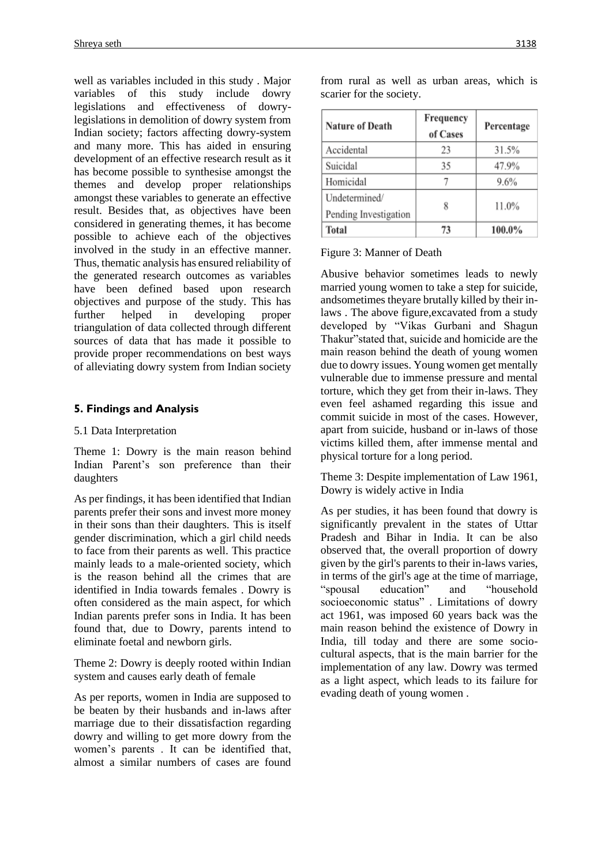well as variables included in this study . Major variables of this study include dowry legislations and effectiveness of dowrylegislations in demolition of dowry system from Indian society; factors affecting dowry-system and many more. This has aided in ensuring development of an effective research result as it has become possible to synthesise amongst the themes and develop proper relationships amongst these variables to generate an effective result. Besides that, as objectives have been considered in generating themes, it has become possible to achieve each of the objectives involved in the study in an effective manner. Thus, thematic analysis has ensured reliability of the generated research outcomes as variables have been defined based upon research objectives and purpose of the study. This has further helped in developing proper triangulation of data collected through different sources of data that has made it possible to provide proper recommendations on best ways of alleviating dowry system from Indian society

# **5. Findings and Analysis**

#### 5.1 Data Interpretation

Theme 1: Dowry is the main reason behind Indian Parent's son preference than their daughters

As per findings, it has been identified that Indian parents prefer their sons and invest more money in their sons than their daughters. This is itself gender discrimination, which a girl child needs to face from their parents as well. This practice mainly leads to a male-oriented society, which is the reason behind all the crimes that are identified in India towards females . Dowry is often considered as the main aspect, for which Indian parents prefer sons in India. It has been found that, due to Dowry, parents intend to eliminate foetal and newborn girls.

Theme 2: Dowry is deeply rooted within Indian system and causes early death of female

As per reports, women in India are supposed to be beaten by their husbands and in-laws after marriage due to their dissatisfaction regarding dowry and willing to get more dowry from the women's parents . It can be identified that, almost a similar numbers of cases are found

| Nature of Death                        | Frequency<br>of Cases | Percentage |
|----------------------------------------|-----------------------|------------|
| Accidental                             | 23                    | 31.5%      |
| Suicidal                               | 35                    | 47.9%      |
| Homicidal                              |                       | 9.6%       |
| Undetermined/<br>Pending Investigation | 8                     | 11.0%      |
| Total                                  | 73                    | 100.0%     |

from rural as well as urban areas, which is scarier for the society.

Figure 3: Manner of Death

Abusive behavior sometimes leads to newly married young women to take a step for suicide, andsometimes theyare brutally killed by their inlaws . The above figure,excavated from a study developed by "Vikas Gurbani and Shagun Thakur"stated that, suicide and homicide are the main reason behind the death of young women due to dowry issues. Young women get mentally vulnerable due to immense pressure and mental torture, which they get from their in-laws. They even feel ashamed regarding this issue and commit suicide in most of the cases. However, apart from suicide, husband or in-laws of those victims killed them, after immense mental and physical torture for a long period.

Theme 3: Despite implementation of Law 1961, Dowry is widely active in India

As per studies, it has been found that dowry is significantly prevalent in the states of Uttar Pradesh and Bihar in India. It can be also observed that, the overall proportion of dowry given by the girl's parents to their in-laws varies, in terms of the girl's age at the time of marriage, "spousal education" and "household socioeconomic status" . Limitations of dowry act 1961, was imposed 60 years back was the main reason behind the existence of Dowry in India, till today and there are some sociocultural aspects, that is the main barrier for the implementation of any law. Dowry was termed as a light aspect, which leads to its failure for evading death of young women .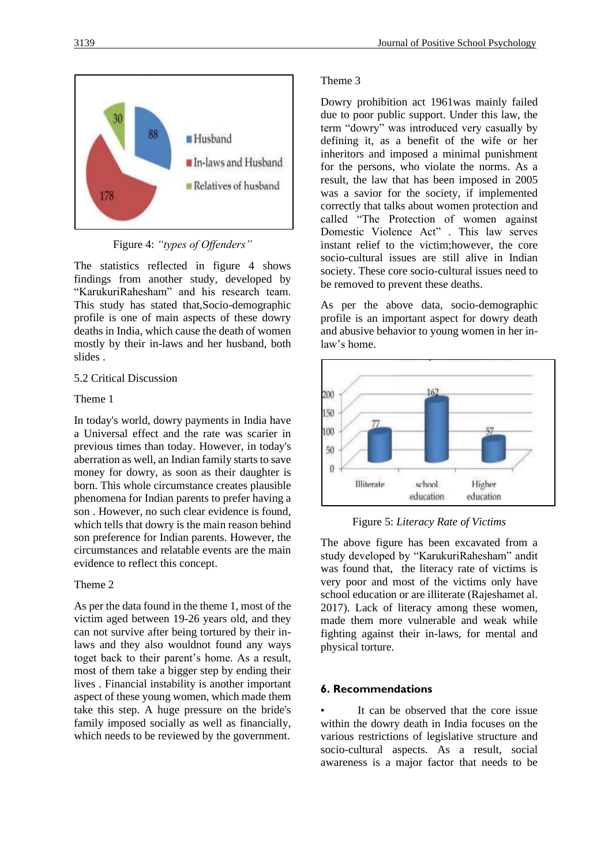



The statistics reflected in figure 4 shows findings from another study, developed by "KarukuriRahesham" and his research team. This study has stated that,Socio-demographic profile is one of main aspects of these dowry deaths in India, which cause the death of women mostly by their in-laws and her husband, both slides .

#### 5.2 Critical Discussion

#### Theme 1

In today's world, dowry payments in India have a Universal effect and the rate was scarier in previous times than today. However, in today's aberration as well, an Indian family starts to save money for dowry, as soon as their daughter is born. This whole circumstance creates plausible phenomena for Indian parents to prefer having a son . However, no such clear evidence is found, which tells that dowry is the main reason behind son preference for Indian parents. However, the circumstances and relatable events are the main evidence to reflect this concept.

#### Theme 2

As per the data found in the theme 1, most of the victim aged between 19-26 years old, and they can not survive after being tortured by their inlaws and they also wouldnot found any ways toget back to their parent's home. As a result, most of them take a bigger step by ending their lives . Financial instability is another important aspect of these young women, which made them take this step. A huge pressure on the bride's family imposed socially as well as financially, which needs to be reviewed by the government.

#### Theme 3

Dowry prohibition act 1961was mainly failed due to poor public support. Under this law, the term "dowry" was introduced very casually by defining it, as a benefit of the wife or her inheritors and imposed a minimal punishment for the persons, who violate the norms. As a result, the law that has been imposed in 2005 was a savior for the society, if implemented correctly that talks about women protection and called "The Protection of women against Domestic Violence Act" . This law serves instant relief to the victim;however, the core socio-cultural issues are still alive in Indian society. These core socio-cultural issues need to be removed to prevent these deaths.

As per the above data, socio-demographic profile is an important aspect for dowry death and abusive behavior to young women in her inlaw's home.



Figure 5: *Literacy Rate of Victims*

The above figure has been excavated from a study developed by "KarukuriRahesham" andit was found that, the literacy rate of victims is very poor and most of the victims only have school education or are illiterate (Rajeshamet al. 2017). Lack of literacy among these women, made them more vulnerable and weak while fighting against their in-laws, for mental and physical torture.

#### **6. Recommendations**

It can be observed that the core issue within the dowry death in India focuses on the various restrictions of legislative structure and socio-cultural aspects. As a result, social awareness is a major factor that needs to be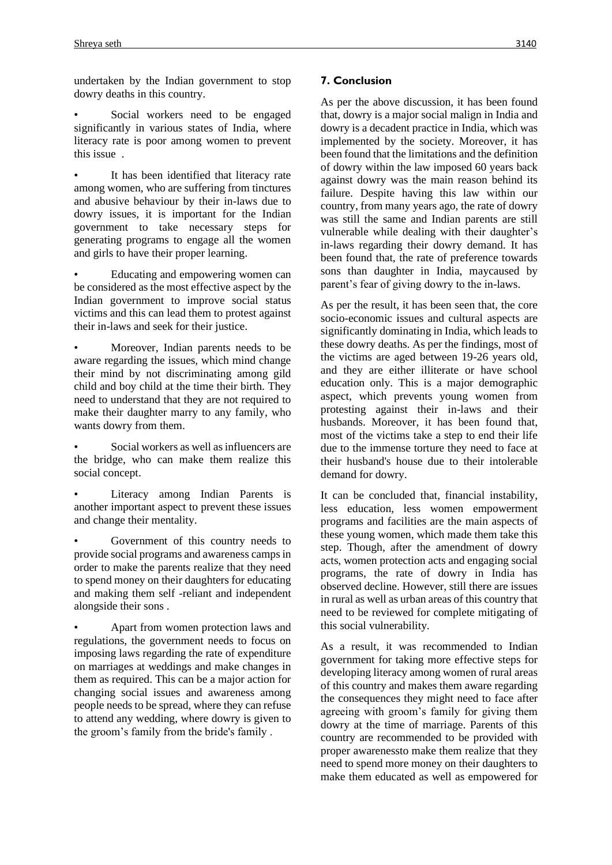undertaken by the Indian government to stop dowry deaths in this country.

Social workers need to be engaged significantly in various states of India, where literacy rate is poor among women to prevent this issue .

It has been identified that literacy rate among women, who are suffering from tinctures and abusive behaviour by their in-laws due to dowry issues, it is important for the Indian government to take necessary steps for generating programs to engage all the women and girls to have their proper learning.

Educating and empowering women can be considered as the most effective aspect by the Indian government to improve social status victims and this can lead them to protest against their in-laws and seek for their justice.

• Moreover, Indian parents needs to be aware regarding the issues, which mind change their mind by not discriminating among gild child and boy child at the time their birth. They need to understand that they are not required to make their daughter marry to any family, who wants dowry from them.

• Social workers as well as influencers are the bridge, who can make them realize this social concept.

Literacy among Indian Parents is another important aspect to prevent these issues and change their mentality.

Government of this country needs to provide social programs and awareness camps in order to make the parents realize that they need to spend money on their daughters for educating and making them self -reliant and independent alongside their sons .

• Apart from women protection laws and regulations, the government needs to focus on imposing laws regarding the rate of expenditure on marriages at weddings and make changes in them as required. This can be a major action for changing social issues and awareness among people needs to be spread, where they can refuse to attend any wedding, where dowry is given to the groom's family from the bride's family .

As per the above discussion, it has been found that, dowry is a major social malign in India and dowry is a decadent practice in India, which was implemented by the society. Moreover, it has been found that the limitations and the definition of dowry within the law imposed 60 years back against dowry was the main reason behind its failure. Despite having this law within our country, from many years ago, the rate of dowry was still the same and Indian parents are still vulnerable while dealing with their daughter's in-laws regarding their dowry demand. It has been found that, the rate of preference towards sons than daughter in India, maycaused by parent's fear of giving dowry to the in-laws.

As per the result, it has been seen that, the core socio-economic issues and cultural aspects are significantly dominating in India, which leads to these dowry deaths. As per the findings, most of the victims are aged between 19-26 years old, and they are either illiterate or have school education only. This is a major demographic aspect, which prevents young women from protesting against their in-laws and their husbands. Moreover, it has been found that, most of the victims take a step to end their life due to the immense torture they need to face at their husband's house due to their intolerable demand for dowry.

It can be concluded that, financial instability, less education, less women empowerment programs and facilities are the main aspects of these young women, which made them take this step. Though, after the amendment of dowry acts, women protection acts and engaging social programs, the rate of dowry in India has observed decline. However, still there are issues in rural as well as urban areas of this country that need to be reviewed for complete mitigating of this social vulnerability.

As a result, it was recommended to Indian government for taking more effective steps for developing literacy among women of rural areas of this country and makes them aware regarding the consequences they might need to face after agreeing with groom's family for giving them dowry at the time of marriage. Parents of this country are recommended to be provided with proper awarenessto make them realize that they need to spend more money on their daughters to make them educated as well as empowered for